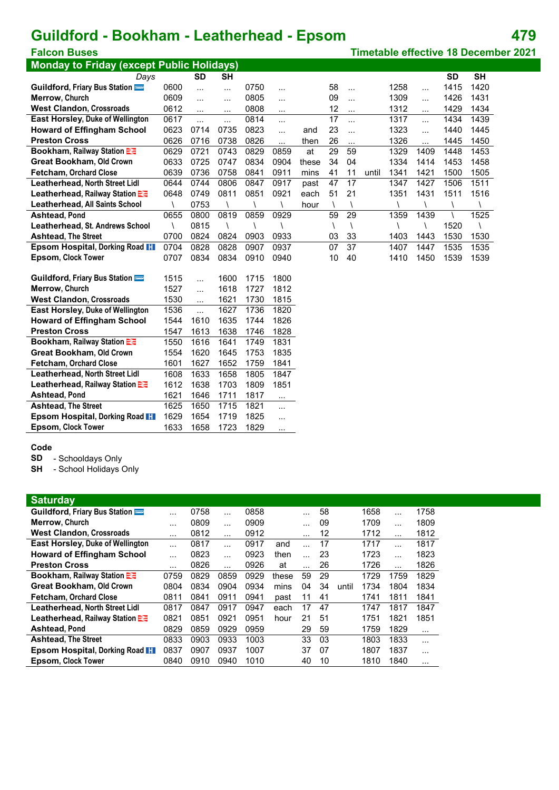## **Guildford - Bookham - Leatherhead - Epsom 479**

| <b>Monday to Friday (except Public Holidays)</b>   |              |              |           |      |          |       |            |            |       |      |           |           |           |
|----------------------------------------------------|--------------|--------------|-----------|------|----------|-------|------------|------------|-------|------|-----------|-----------|-----------|
| Days                                               |              | <b>SD</b>    | <b>SH</b> |      |          |       |            |            |       |      |           | <b>SD</b> | <b>SH</b> |
| Guildford, Friary Bus Station                      | 0600         | $\cdots$     | $\cdots$  | 0750 | .        |       | 58         | $\cdots$   |       | 1258 | $\ddotsc$ | 1415      | 1420      |
| Merrow, Church                                     | 0609         | $\ddotsc$    | $\cdots$  | 0805 | .        |       | 09         | $\cdots$   |       | 1309 | $\cdots$  | 1426      | 1431      |
| <b>West Clandon, Crossroads</b>                    | 0612         | $\ddotsc$    | $\cdots$  | 0808 | .        |       | 12         | $\cdots$   |       | 1312 | $\cdots$  | 1429      | 1434      |
| <b>East Horsley, Duke of Wellington</b>            | 0617         | $\ddotsc$    | .         | 0814 | $\cdots$ |       | 17         | .          |       | 1317 | $\cdots$  | 1434      | 1439      |
| <b>Howard of Effingham School</b>                  | 0623         | 0714         | 0735      | 0823 | .        | and   | 23         | $\ddotsc$  |       | 1323 | $\cdots$  | 1440      | 1445      |
| <b>Preston Cross</b>                               | 0626         | 0716         | 0738      | 0826 | .        | then  | 26         | $\cdots$   |       | 1326 | $\ddotsc$ | 1445      | 1450      |
| Bookham, Railway Station E                         | 0629         | 0721         | 0743      | 0829 | 0859     | at    | 29         | 59         |       | 1329 | 1409      | 1448      | 1453      |
| <b>Great Bookham, Old Crown</b>                    | 0633         | 0725         | 0747      | 0834 | 0904     | these | 34         | 04         |       | 1334 | 1414      | 1453      | 1458      |
| Fetcham, Orchard Close                             | 0639         | 0736         | 0758      | 0841 | 0911     | mins  | 41         | 11         | until | 1341 | 1421      | 1500      | 1505      |
| <b>Leatherhead, North Street Lidl</b>              | 0644         | 0744         | 0806      | 0847 | 0917     | past  | 47         | 17         |       | 1347 | 1427      | 1506      | 1511      |
| Leatherhead, Railway Station E                     | 0648         | 0749         | 0811      | 0851 | 0921     | each  | 51         | 21         |       | 1351 | 1431      | 1511      | 1516      |
| Leatherhead, All Saints School                     | $\lambda$    | 0753         |           |      |          | hour  | $\sqrt{2}$ | $\sqrt{2}$ |       |      |           | $\lambda$ |           |
| <b>Ashtead, Pond</b>                               | 0655         | 0800         | 0819      | 0859 | 0929     |       | 59         | 29         |       | 1359 | 1439      |           | 1525      |
| Leatherhead, St. Andrews School                    | Λ            | 0815         |           |      |          |       | $\lambda$  | $\lambda$  |       |      |           | 1520      |           |
| <b>Ashtead, The Street</b>                         | 0700         | 0824         | 0824      | 0903 | 0933     |       | 03         | 33         |       | 1403 | 1443      | 1530      | 1530      |
| Epsom Hospital, Dorking Road II                    | 0704         | 0828         | 0828      | 0907 | 0937     |       | 07         | 37         |       | 1407 | 1447      | 1535      | 1535      |
| Epsom, Clock Tower                                 | 0707         | 0834         | 0834      | 0910 | 0940     |       | 10         | 40         |       | 1410 | 1450      | 1539      | 1539      |
|                                                    |              |              |           |      |          |       |            |            |       |      |           |           |           |
| Guildford, Friary Bus Station                      | 1515         | $\cdots$     | 1600      | 1715 | 1800     |       |            |            |       |      |           |           |           |
| Merrow, Church                                     | 1527         | $\ddotsc$    | 1618      | 1727 | 1812     |       |            |            |       |      |           |           |           |
| <b>West Clandon, Crossroads</b>                    | 1530         | $\cdots$     | 1621      | 1730 | 1815     |       |            |            |       |      |           |           |           |
| East Horsley, Duke of Wellington                   | 1536         | $\ddotsc$    | 1627      | 1736 | 1820     |       |            |            |       |      |           |           |           |
| <b>Howard of Effingham School</b>                  | 1544         | 1610         | 1635      | 1744 | 1826     |       |            |            |       |      |           |           |           |
| <b>Preston Cross</b>                               | 1547         | 1613         | 1638      | 1746 | 1828     |       |            |            |       |      |           |           |           |
| Bookham, Railway Station E3                        | 1550         | 1616         | 1641      | 1749 | 1831     |       |            |            |       |      |           |           |           |
| <b>Great Bookham, Old Crown</b>                    | 1554         | 1620         | 1645      | 1753 | 1835     |       |            |            |       |      |           |           |           |
| <b>Fetcham, Orchard Close</b>                      | 1601         | 1627         | 1652      | 1759 | 1841     |       |            |            |       |      |           |           |           |
| Leatherhead, North Street Lidl                     | 1608         | 1633         | 1658      | 1805 | 1847     |       |            |            |       |      |           |           |           |
| Leatherhead, Railway Station E                     | 1612         | 1638         | 1703      | 1809 | 1851     |       |            |            |       |      |           |           |           |
| <b>Ashtead, Pond</b><br><b>Ashtead, The Street</b> | 1621<br>1625 | 1646<br>1650 | 1711      | 1817 | .        |       |            |            |       |      |           |           |           |
| Epsom Hospital, Dorking Road II                    | 1629         |              | 1715      | 1821 | .        |       |            |            |       |      |           |           |           |
|                                                    |              | 1654         | 1719      | 1825 | .        |       |            |            |       |      |           |           |           |
| <b>Epsom, Clock Tower</b>                          | 1633         | 1658         | 1723      | 1829 | $\cdot$  |       |            |            |       |      |           |           |           |

#### **Code**

**SD** - Schooldays Only

**SH** - School Holidays Only

#### **Saturday**

| Guildford, Friary Bus Station<br>58<br>0758<br>0858<br>1658<br>1758<br>$\cdots$<br>$\cdots$<br>$\cdots$<br>$\cdots$<br><b>Merrow. Church</b><br>0809<br>1709<br>1809<br>0909<br>09<br>$\cdots$<br>$\cdots$<br>$\cdots$<br>.<br><b>West Clandon, Crossroads</b><br>12<br>0812<br>0912<br>1712<br>1812<br>$\cdots$<br>$\cdots$<br>$\cdots$<br>$\cdots$<br>East Horsley, Duke of Wellington<br>17<br>1817<br>0817<br>0917<br>1717<br>and<br>$\ddotsc$<br>$\cdots$<br>$\cdots$<br><b>Howard of Effingham School</b><br>1723<br>1823<br>0823<br>0923<br>23<br>then<br>$\cdots$<br>$\overline{\phantom{a}}$<br>$\cdots$<br><b>Preston Cross</b><br>26<br>1826<br>0826<br>0926<br>1726<br>at<br>$\cdots$<br>$\cdots$<br>$\cdots$<br>$\cdots$<br><b>Bookham, Railway Station Ex-</b><br>29<br>1829<br>0829<br>0759<br>0859<br>0929<br>59<br>1729<br>these<br>1759<br><b>Great Bookham, Old Crown</b><br>0804<br>0904<br>0934<br>34<br>1834<br>0834<br>04<br>1734<br>1804<br>mins<br>until<br><b>Fetcham, Orchard Close</b><br>0811<br>0911<br>0941<br>1811<br>1841<br>0841<br>41<br>1741<br>11<br>past<br>Leatherhead, North Street Lidl<br>47<br>0817<br>0917<br>0947<br>17<br>1817<br>1847<br>0847<br>1747<br>each<br>Leatherhead, Railway Station<br>0921<br>1851<br>0821<br>0951<br>51<br>1821<br>0851<br>21<br>1751<br>hour<br>0829<br>0929<br><b>Ashtead, Pond</b><br>0959<br>29<br>59<br>1759<br>1829<br>0859<br>$\cdots$<br>03<br><b>Ashtead, The Street</b><br>0833<br>0933<br>1003<br>33<br>1803<br>1833<br>0903<br>$\cdots$<br>Epsom Hospital, Dorking Road II<br>0937<br>1007<br>37<br>07<br>1837<br>0837<br>0907<br>1807<br>$\cdots$<br><b>Epsom, Clock Tower</b><br>10<br>0940<br>1010<br>40<br>1840<br>0840<br>0910<br>1810<br>. | <b>Saturgay</b> |  |  |  |  |  |  |
|-----------------------------------------------------------------------------------------------------------------------------------------------------------------------------------------------------------------------------------------------------------------------------------------------------------------------------------------------------------------------------------------------------------------------------------------------------------------------------------------------------------------------------------------------------------------------------------------------------------------------------------------------------------------------------------------------------------------------------------------------------------------------------------------------------------------------------------------------------------------------------------------------------------------------------------------------------------------------------------------------------------------------------------------------------------------------------------------------------------------------------------------------------------------------------------------------------------------------------------------------------------------------------------------------------------------------------------------------------------------------------------------------------------------------------------------------------------------------------------------------------------------------------------------------------------------------------------------------------------------------------------------------------------------------------------------------------------------------------------------|-----------------|--|--|--|--|--|--|
|                                                                                                                                                                                                                                                                                                                                                                                                                                                                                                                                                                                                                                                                                                                                                                                                                                                                                                                                                                                                                                                                                                                                                                                                                                                                                                                                                                                                                                                                                                                                                                                                                                                                                                                                         |                 |  |  |  |  |  |  |
|                                                                                                                                                                                                                                                                                                                                                                                                                                                                                                                                                                                                                                                                                                                                                                                                                                                                                                                                                                                                                                                                                                                                                                                                                                                                                                                                                                                                                                                                                                                                                                                                                                                                                                                                         |                 |  |  |  |  |  |  |
|                                                                                                                                                                                                                                                                                                                                                                                                                                                                                                                                                                                                                                                                                                                                                                                                                                                                                                                                                                                                                                                                                                                                                                                                                                                                                                                                                                                                                                                                                                                                                                                                                                                                                                                                         |                 |  |  |  |  |  |  |
|                                                                                                                                                                                                                                                                                                                                                                                                                                                                                                                                                                                                                                                                                                                                                                                                                                                                                                                                                                                                                                                                                                                                                                                                                                                                                                                                                                                                                                                                                                                                                                                                                                                                                                                                         |                 |  |  |  |  |  |  |
|                                                                                                                                                                                                                                                                                                                                                                                                                                                                                                                                                                                                                                                                                                                                                                                                                                                                                                                                                                                                                                                                                                                                                                                                                                                                                                                                                                                                                                                                                                                                                                                                                                                                                                                                         |                 |  |  |  |  |  |  |
|                                                                                                                                                                                                                                                                                                                                                                                                                                                                                                                                                                                                                                                                                                                                                                                                                                                                                                                                                                                                                                                                                                                                                                                                                                                                                                                                                                                                                                                                                                                                                                                                                                                                                                                                         |                 |  |  |  |  |  |  |
|                                                                                                                                                                                                                                                                                                                                                                                                                                                                                                                                                                                                                                                                                                                                                                                                                                                                                                                                                                                                                                                                                                                                                                                                                                                                                                                                                                                                                                                                                                                                                                                                                                                                                                                                         |                 |  |  |  |  |  |  |
|                                                                                                                                                                                                                                                                                                                                                                                                                                                                                                                                                                                                                                                                                                                                                                                                                                                                                                                                                                                                                                                                                                                                                                                                                                                                                                                                                                                                                                                                                                                                                                                                                                                                                                                                         |                 |  |  |  |  |  |  |
|                                                                                                                                                                                                                                                                                                                                                                                                                                                                                                                                                                                                                                                                                                                                                                                                                                                                                                                                                                                                                                                                                                                                                                                                                                                                                                                                                                                                                                                                                                                                                                                                                                                                                                                                         |                 |  |  |  |  |  |  |
|                                                                                                                                                                                                                                                                                                                                                                                                                                                                                                                                                                                                                                                                                                                                                                                                                                                                                                                                                                                                                                                                                                                                                                                                                                                                                                                                                                                                                                                                                                                                                                                                                                                                                                                                         |                 |  |  |  |  |  |  |
|                                                                                                                                                                                                                                                                                                                                                                                                                                                                                                                                                                                                                                                                                                                                                                                                                                                                                                                                                                                                                                                                                                                                                                                                                                                                                                                                                                                                                                                                                                                                                                                                                                                                                                                                         |                 |  |  |  |  |  |  |
|                                                                                                                                                                                                                                                                                                                                                                                                                                                                                                                                                                                                                                                                                                                                                                                                                                                                                                                                                                                                                                                                                                                                                                                                                                                                                                                                                                                                                                                                                                                                                                                                                                                                                                                                         |                 |  |  |  |  |  |  |
|                                                                                                                                                                                                                                                                                                                                                                                                                                                                                                                                                                                                                                                                                                                                                                                                                                                                                                                                                                                                                                                                                                                                                                                                                                                                                                                                                                                                                                                                                                                                                                                                                                                                                                                                         |                 |  |  |  |  |  |  |
|                                                                                                                                                                                                                                                                                                                                                                                                                                                                                                                                                                                                                                                                                                                                                                                                                                                                                                                                                                                                                                                                                                                                                                                                                                                                                                                                                                                                                                                                                                                                                                                                                                                                                                                                         |                 |  |  |  |  |  |  |
|                                                                                                                                                                                                                                                                                                                                                                                                                                                                                                                                                                                                                                                                                                                                                                                                                                                                                                                                                                                                                                                                                                                                                                                                                                                                                                                                                                                                                                                                                                                                                                                                                                                                                                                                         |                 |  |  |  |  |  |  |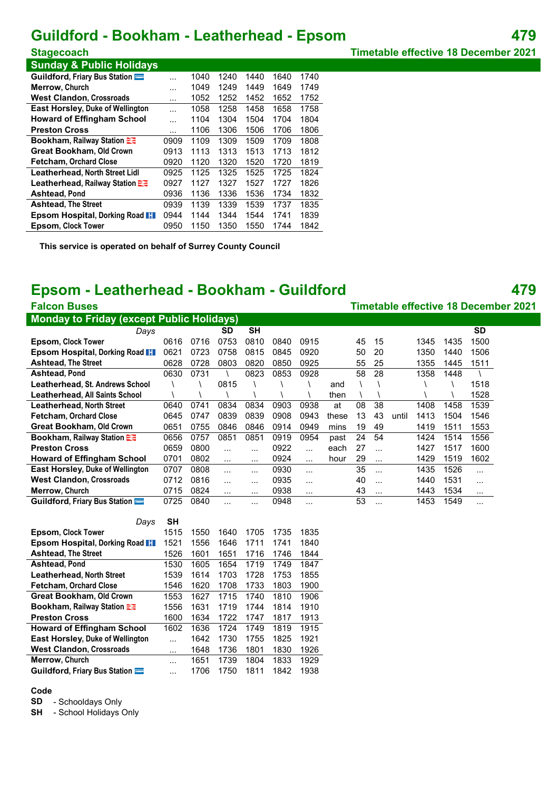## **Guildford - Bookham - Leatherhead - Epsom 479**

**Sunday & Public Holidays**

| Guildford, Friary Bus Station           |         | 1040 | 1240 | 1440 | 1640 | 1740 |
|-----------------------------------------|---------|------|------|------|------|------|
| <b>Merrow. Church</b>                   | $\cdot$ | 1049 | 1249 | 1449 | 1649 | 1749 |
| <b>West Clandon, Crossroads</b>         | $\cdot$ | 1052 | 1252 | 1452 | 1652 | 1752 |
| <b>East Horsley, Duke of Wellington</b> | .       | 1058 | 1258 | 1458 | 1658 | 1758 |
| <b>Howard of Effingham School</b>       | $\cdot$ | 1104 | 1304 | 1504 | 1704 | 1804 |
| <b>Preston Cross</b>                    |         | 1106 | 1306 | 1506 | 1706 | 1806 |
| Bookham, Railway Station                | 0909    | 1109 | 1309 | 1509 | 1709 | 1808 |
| <b>Great Bookham, Old Crown</b>         | 0913    | 1113 | 1313 | 1513 | 1713 | 1812 |
| <b>Fetcham, Orchard Close</b>           | 0920    | 1120 | 1320 | 1520 | 1720 | 1819 |
| <b>Leatherhead, North Street Lidl</b>   | 0925    | 1125 | 1325 | 1525 | 1725 | 1824 |
| Leatherhead, Railway Station            | 0927    | 1127 | 1327 | 1527 | 1727 | 1826 |
| <b>Ashtead, Pond</b>                    | 0936    | 1136 | 1336 | 1536 | 1734 | 1832 |
| <b>Ashtead, The Street</b>              | 0939    | 1139 | 1339 | 1539 | 1737 | 1835 |
| <b>Epsom Hospital, Dorking Road II</b>  | 0944    | 1144 | 1344 | 1544 | 1741 | 1839 |
| <b>Epsom, Clock Tower</b>               | 0950    | 1150 | 1350 | 1550 | 1744 | 1842 |

**This service is operated on behalf of Surrey County Council**

### **Epsom - Leatherhead - Bookham - Guildford 479**

**Falcon Buses Timetable effective 18 December 2021 Monday to Friday (except Public Holidays)** *Days* **SD SH SD Epsom, Clock Tower** 0616 0716 0753 0810 0840 0915 45 15 1345 1435 1500 **Epsom Hospital, Dorking Road** 0621 0723 0758 0815 0845 0920 50 20 1350 1440 1506 **Ashtead, The Street** 0628 0728 0803 0820 0850 0925 55 25 1355 1445 1511 **Ashtead, Pond** 0630 0731 \ 0823 0853 0928 58 28 1358 1448 \ **Leatherhead, St. Andrews School** \ \ 0815 \ \ \ and \ \ \ \ 1518 **Leatherhead, All Saints School** \ \ \ \ \ \ \ then \ \ \ \ 1528 **Leatherhead, North Street** 0640 0741 0834 0834 0903 0938 at 08 38 1408 1458 1539 **Fetcham, Orchard Close** 0645 0747 0839 0839 0908 0943 these 13 43 until 1413 1504 1546 **Great Bookham, Old Crown** 0651 0755 0846 0846 0914 0949 mins 19 49 1419 1511 1553<br>**Bookham, Railway Station 23** 0656 0757 0851 0851 0919 0954 past 24 54 1424 1514 1556 **Bookham, Railway Station**  $\mathbb{R}$  **0656 0757 0851 0851 0919 0954 past 24 54 Preston Cross** 0659 0800 ... ... 0922 ... each 27 ... 1427 1517 1600 **Howard of Effingham School** 0701 0802 ... ... 0924 ... hour 29 ... 1429 1519 1602 **East Horsley, Duke of Wellington** 0707 0808 ... ... 0930 ... 35 ... 1435 1526 ... West Clandon, Crossroads 0712 0816 ... ... 0935 ... 40 ... 1440 1531 ... **Merrow, Church** 0715 0824 ... ... 0938 ... 43 ... 1443 1534 ... **Guildford, Friary Bus Station <b>Compact 3** 0725 0840 ... ... 0948 ... 53 ... 1453 1549 ... *Days* **SH Epsom, Clock Tower** 1515 1550 1640 1705 1735 1835 **Epsom Hospital, Dorking Road** 1521 1556 1646 1711 1741 1840 **Ashtead, The Street** 1526 1601 1651 1716 1746 1844<br> **Ashtead, Pond** 1530 1605 1654 1719 1749 1847 **Ashtead, Pond** 1530 1605 1654 1719 1749 1847 **Leatherhead, North Street** 1539 1614 1703 1728 1753 1855 **Fetcham, Orchard Close** 1546 1620 1708 1733 1803 1900 **Great Bookham, Old Crown** 1553 1627 1715 1740 1810 1906 **Bookham, Railway Station** 1556 1631 1719 1744 1814 1910 **Preston Cross** 1600 1634 1722 1747 1817 1913 **Howard of Effingham School** 1602 1636 1724 1749 1819 1915 **East Horsley, Duke of Wellington** ... 1642 1730 1755 1825 1921 **West Clandon, Crossroads** ... 1648 1736 1801 1830 1926 **Merrow, Church** ... 1651 1739 1804 1833 1929 **Guildford, Friary Bus Station** ... 1706 1750 1811 1842 1938

#### **Code**

**SD** - Schooldays Only

**SH** - School Holidays Only